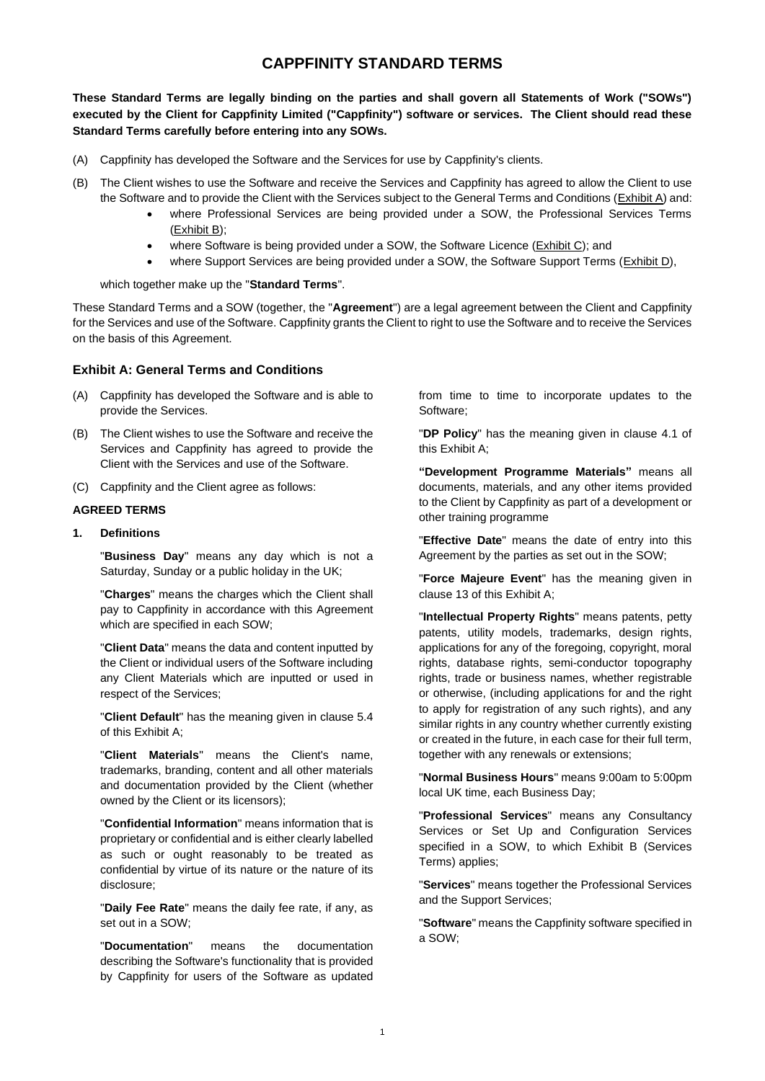# **CAPPFINITY STANDARD TERMS**

**These Standard Terms are legally binding on the parties and shall govern all Statements of Work ("SOWs") executed by the Client for Cappfinity Limited ("Cappfinity") software or services. The Client should read these Standard Terms carefully before entering into any SOWs.**

- (A) Cappfinity has developed the Software and the Services for use by Cappfinity's clients.
- (B) The Client wishes to use the Software and receive the Services and Cappfinity has agreed to allow the Client to use the Software and to provide the Client with the Services subject to the General Terms and Conditions (Exhibit A) and:
	- where Professional Services are being provided under a SOW, the Professional Services Terms (Exhibit B);
	- where Software is being provided under a SOW, the Software Licence (Exhibit C); and
	- where Support Services are being provided under a SOW, the Software Support Terms (Exhibit D),

#### which together make up the "**Standard Terms**".

These Standard Terms and a SOW (together, the "**Agreement**") are a legal agreement between the Client and Cappfinity for the Services and use of the Software. Cappfinity grants the Client to right to use the Software and to receive the Services on the basis of this Agreement.

#### **Exhibit A: General Terms and Conditions**

- (A) Cappfinity has developed the Software and is able to provide the Services.
- (B) The Client wishes to use the Software and receive the Services and Cappfinity has agreed to provide the Client with the Services and use of the Software.
- (C) Cappfinity and the Client agree as follows:

#### **AGREED TERMS**

**1. Definitions**

"**Business Day**" means any day which is not a Saturday, Sunday or a public holiday in the UK;

"**Charges**" means the charges which the Client shall pay to Cappfinity in accordance with this Agreement which are specified in each SOW;

"**Client Data**" means the data and content inputted by the Client or individual users of the Software including any Client Materials which are inputted or used in respect of the Services;

"**Client Default**" has the meaning given in clause 5.4 of this Exhibit A;

"**Client Materials**" means the Client's name, trademarks, branding, content and all other materials and documentation provided by the Client (whether owned by the Client or its licensors);

"**Confidential Information**" means information that is proprietary or confidential and is either clearly labelled as such or ought reasonably to be treated as confidential by virtue of its nature or the nature of its disclosure;

"**Daily Fee Rate**" means the daily fee rate, if any, as set out in a SOW;

"**Documentation**" means the documentation describing the Software's functionality that is provided by Cappfinity for users of the Software as updated

from time to time to incorporate updates to the Software;

"**DP Policy**" has the meaning given in clause 4.1 of this Exhibit A;

**"Development Programme Materials"** means all documents, materials, and any other items provided to the Client by Cappfinity as part of a development or other training programme

"**Effective Date**" means the date of entry into this Agreement by the parties as set out in the SOW;

"**Force Majeure Event**" has the meaning given in clause 13 of this Exhibit A;

"**Intellectual Property Rights**" means patents, petty patents, utility models, trademarks, design rights, applications for any of the foregoing, copyright, moral rights, database rights, semi-conductor topography rights, trade or business names, whether registrable or otherwise, (including applications for and the right to apply for registration of any such rights), and any similar rights in any country whether currently existing or created in the future, in each case for their full term, together with any renewals or extensions;

"**Normal Business Hours**" means 9:00am to 5:00pm local UK time, each Business Day;

"**Professional Services**" means any Consultancy Services or Set Up and Configuration Services specified in a SOW, to which Exhibit B (Services Terms) applies;

"**Services**" means together the Professional Services and the Support Services;

"**Software**" means the Cappfinity software specified in a SOW;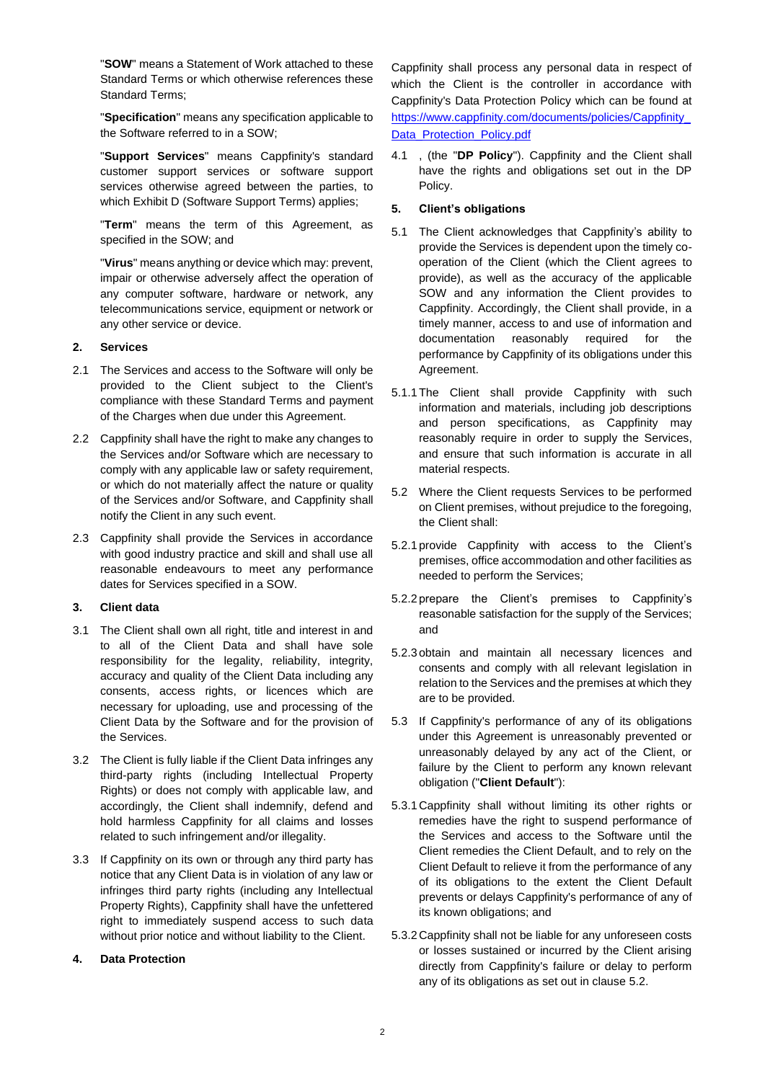"**SOW**" means a Statement of Work attached to these Standard Terms or which otherwise references these Standard Terms;

"**Specification**" means any specification applicable to the Software referred to in a SOW;

"**Support Services**" means Cappfinity's standard customer support services or software support services otherwise agreed between the parties, to which Exhibit D (Software Support Terms) applies;

"**Term**" means the term of this Agreement, as specified in the SOW; and

"**Virus**" means anything or device which may: prevent, impair or otherwise adversely affect the operation of any computer software, hardware or network, any telecommunications service, equipment or network or any other service or device.

# **2. Services**

- 2.1 The Services and access to the Software will only be provided to the Client subject to the Client's compliance with these Standard Terms and payment of the Charges when due under this Agreement.
- 2.2 Cappfinity shall have the right to make any changes to the Services and/or Software which are necessary to comply with any applicable law or safety requirement, or which do not materially affect the nature or quality of the Services and/or Software, and Cappfinity shall notify the Client in any such event.
- 2.3 Cappfinity shall provide the Services in accordance with good industry practice and skill and shall use all reasonable endeavours to meet any performance dates for Services specified in a SOW.

# **3. Client data**

- 3.1 The Client shall own all right, title and interest in and to all of the Client Data and shall have sole responsibility for the legality, reliability, integrity, accuracy and quality of the Client Data including any consents, access rights, or licences which are necessary for uploading, use and processing of the Client Data by the Software and for the provision of the Services.
- 3.2 The Client is fully liable if the Client Data infringes any third-party rights (including Intellectual Property Rights) or does not comply with applicable law, and accordingly, the Client shall indemnify, defend and hold harmless Cappfinity for all claims and losses related to such infringement and/or illegality.
- 3.3 If Cappfinity on its own or through any third party has notice that any Client Data is in violation of any law or infringes third party rights (including any Intellectual Property Rights), Cappfinity shall have the unfettered right to immediately suspend access to such data without prior notice and without liability to the Client.

# **4. Data Protection**

Cappfinity shall process any personal data in respect of which the Client is the controller in accordance with Cappfinity's Data Protection Policy which can be found at [https://www.cappfinity.com/documents/policies/Cappfinity\\_](https://www.cappfinity.com/documents/policies/Cappfinity_Data_Protection_Policy.pdf) [Data\\_Protection\\_Policy.pdf](https://www.cappfinity.com/documents/policies/Cappfinity_Data_Protection_Policy.pdf)

4.1 , (the "**DP Policy**"). Cappfinity and the Client shall have the rights and obligations set out in the DP Policy.

# **5. Client's obligations**

- 5.1 The Client acknowledges that Cappfinity's ability to provide the Services is dependent upon the timely cooperation of the Client (which the Client agrees to provide), as well as the accuracy of the applicable SOW and any information the Client provides to Cappfinity. Accordingly, the Client shall provide, in a timely manner, access to and use of information and documentation reasonably required for the performance by Cappfinity of its obligations under this Agreement.
- 5.1.1The Client shall provide Cappfinity with such information and materials, including job descriptions and person specifications, as Cappfinity may reasonably require in order to supply the Services, and ensure that such information is accurate in all material respects.
- <span id="page-1-0"></span>5.2 Where the Client requests Services to be performed on Client premises, without prejudice to the foregoing, the Client shall:
- 5.2.1 provide Cappfinity with access to the Client's premises, office accommodation and other facilities as needed to perform the Services;
- 5.2.2 prepare the Client's premises to Cappfinity's reasonable satisfaction for the supply of the Services; and
- 5.2.3 obtain and maintain all necessary licences and consents and comply with all relevant legislation in relation to the Services and the premises at which they are to be provided.
- 5.3 If Cappfinity's performance of any of its obligations under this Agreement is unreasonably prevented or unreasonably delayed by any act of the Client, or failure by the Client to perform any known relevant obligation ("**Client Default**"):
- 5.3.1Cappfinity shall without limiting its other rights or remedies have the right to suspend performance of the Services and access to the Software until the Client remedies the Client Default, and to rely on the Client Default to relieve it from the performance of any of its obligations to the extent the Client Default prevents or delays Cappfinity's performance of any of its known obligations; and
- 5.3.2Cappfinity shall not be liable for any unforeseen costs or losses sustained or incurred by the Client arising directly from Cappfinity's failure or delay to perform any of its obligations as set out in claus[e 5.2.](#page-1-0)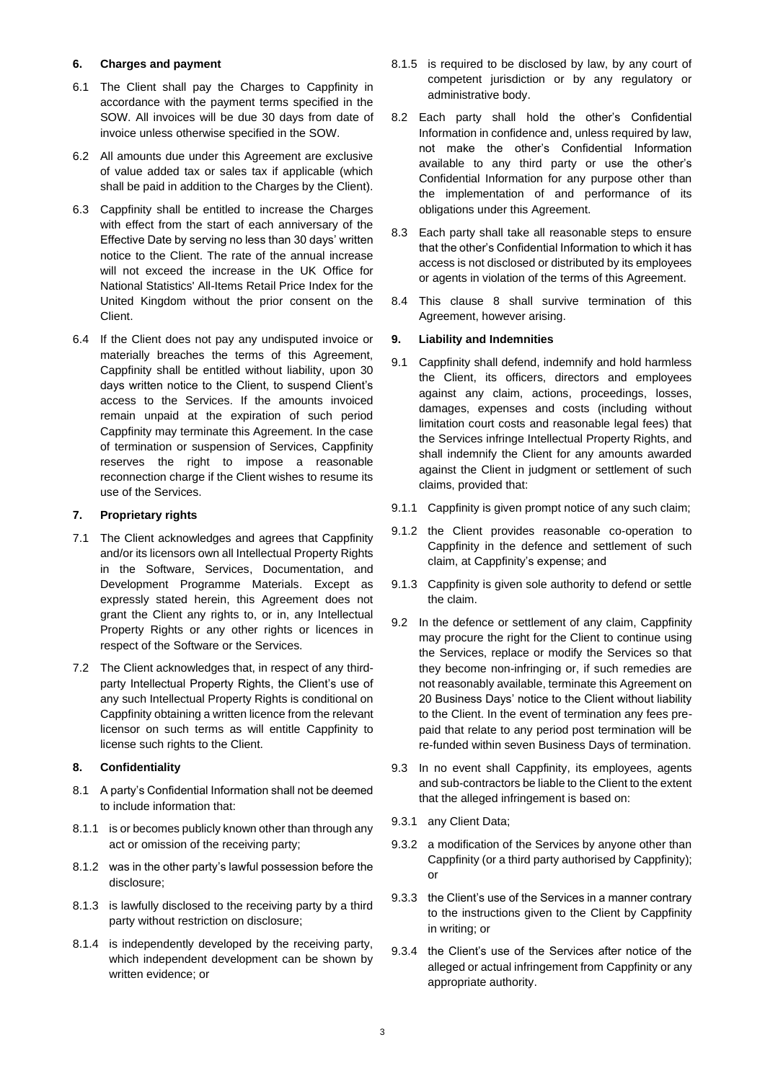### **6. Charges and payment**

- 6.1 The Client shall pay the Charges to Cappfinity in accordance with the payment terms specified in the SOW. All invoices will be due 30 days from date of invoice unless otherwise specified in the SOW.
- 6.2 All amounts due under this Agreement are exclusive of value added tax or sales tax if applicable (which shall be paid in addition to the Charges by the Client).
- 6.3 Cappfinity shall be entitled to increase the Charges with effect from the start of each anniversary of the Effective Date by serving no less than 30 days' written notice to the Client. The rate of the annual increase will not exceed the increase in the UK Office for National Statistics' All-Items Retail Price Index for the United Kingdom without the prior consent on the Client.
- 6.4 If the Client does not pay any undisputed invoice or materially breaches the terms of this Agreement, Cappfinity shall be entitled without liability, upon 30 days written notice to the Client, to suspend Client's access to the Services. If the amounts invoiced remain unpaid at the expiration of such period Cappfinity may terminate this Agreement. In the case of termination or suspension of Services, Cappfinity reserves the right to impose a reasonable reconnection charge if the Client wishes to resume its use of the Services.

### **7. Proprietary rights**

- 7.1 The Client acknowledges and agrees that Cappfinity and/or its licensors own all Intellectual Property Rights in the Software, Services, Documentation, and Development Programme Materials. Except as expressly stated herein, this Agreement does not grant the Client any rights to, or in, any Intellectual Property Rights or any other rights or licences in respect of the Software or the Services.
- 7.2 The Client acknowledges that, in respect of any thirdparty Intellectual Property Rights, the Client's use of any such Intellectual Property Rights is conditional on Cappfinity obtaining a written licence from the relevant licensor on such terms as will entitle Cappfinity to license such rights to the Client.

# <span id="page-2-0"></span>**8. Confidentiality**

- 8.1 A party's Confidential Information shall not be deemed to include information that:
- 8.1.1 is or becomes publicly known other than through any act or omission of the receiving party;
- 8.1.2 was in the other party's lawful possession before the disclosure;
- 8.1.3 is lawfully disclosed to the receiving party by a third party without restriction on disclosure;
- 8.1.4 is independently developed by the receiving party, which independent development can be shown by written evidence; or
- 8.1.5 is required to be disclosed by law, by any court of competent jurisdiction or by any regulatory or administrative body.
- 8.2 Each party shall hold the other's Confidential Information in confidence and, unless required by law, not make the other's Confidential Information available to any third party or use the other's Confidential Information for any purpose other than the implementation of and performance of its obligations under this Agreement.
- 8.3 Each party shall take all reasonable steps to ensure that the other's Confidential Information to which it has access is not disclosed or distributed by its employees or agents in violation of the terms of this Agreement.
- 8.4 This clause [8](#page-2-0) shall survive termination of this Agreement, however arising.

### **9. Liability and Indemnities**

- <span id="page-2-1"></span>9.1 Cappfinity shall defend, indemnify and hold harmless the Client, its officers, directors and employees against any claim, actions, proceedings, losses, damages, expenses and costs (including without limitation court costs and reasonable legal fees) that the Services infringe Intellectual Property Rights, and shall indemnify the Client for any amounts awarded against the Client in judgment or settlement of such claims, provided that:
- 9.1.1 Cappfinity is given prompt notice of any such claim;
- 9.1.2 the Client provides reasonable co-operation to Cappfinity in the defence and settlement of such claim, at Cappfinity's expense; and
- 9.1.3 Cappfinity is given sole authority to defend or settle the claim.
- 9.2 In the defence or settlement of any claim, Cappfinity may procure the right for the Client to continue using the Services, replace or modify the Services so that they become non-infringing or, if such remedies are not reasonably available, terminate this Agreement on 20 Business Days' notice to the Client without liability to the Client. In the event of termination any fees prepaid that relate to any period post termination will be re-funded within seven Business Days of termination.
- 9.3 In no event shall Cappfinity, its employees, agents and sub-contractors be liable to the Client to the extent that the alleged infringement is based on:
- 9.3.1 any Client Data;
- 9.3.2 a modification of the Services by anyone other than Cappfinity (or a third party authorised by Cappfinity); or
- 9.3.3 the Client's use of the Services in a manner contrary to the instructions given to the Client by Cappfinity in writing; or
- 9.3.4 the Client's use of the Services after notice of the alleged or actual infringement from Cappfinity or any appropriate authority.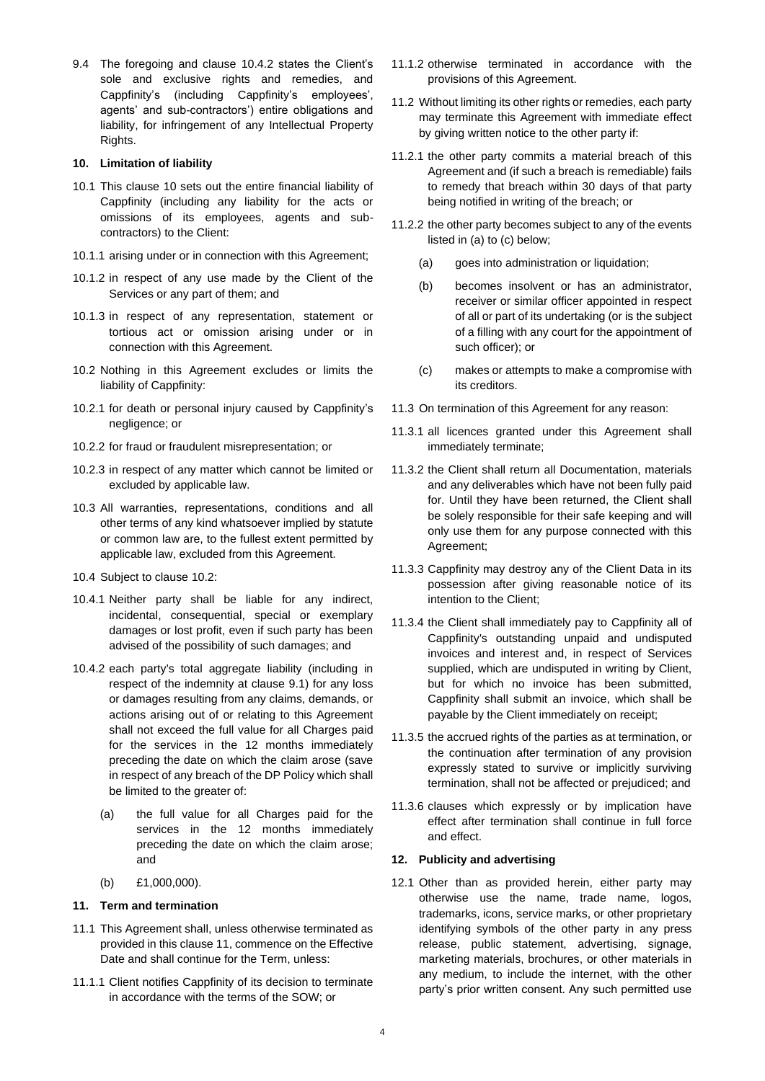9.4 The foregoing and clause [10.4.2](#page-3-0) states the Client's sole and exclusive rights and remedies, and Cappfinity's (including Cappfinity's employees', agents' and sub-contractors') entire obligations and liability, for infringement of any Intellectual Property Rights.

### <span id="page-3-1"></span>**10. Limitation of liability**

- 10.1 This clause [10](#page-3-1) sets out the entire financial liability of Cappfinity (including any liability for the acts or omissions of its employees, agents and subcontractors) to the Client:
- 10.1.1 arising under or in connection with this Agreement;
- 10.1.2 in respect of any use made by the Client of the Services or any part of them; and
- 10.1.3 in respect of any representation, statement or tortious act or omission arising under or in connection with this Agreement.
- <span id="page-3-2"></span>10.2 Nothing in this Agreement excludes or limits the liability of Cappfinity:
- 10.2.1 for death or personal injury caused by Cappfinity's negligence; or
- 10.2.2 for fraud or fraudulent misrepresentation; or
- 10.2.3 in respect of any matter which cannot be limited or excluded by applicable law.
- 10.3 All warranties, representations, conditions and all other terms of any kind whatsoever implied by statute or common law are, to the fullest extent permitted by applicable law, excluded from this Agreement.
- 10.4 Subject to clause [10.2:](#page-3-2)
- 10.4.1 Neither party shall be liable for any indirect, incidental, consequential, special or exemplary damages or lost profit, even if such party has been advised of the possibility of such damages; and
- <span id="page-3-0"></span>10.4.2 each party's total aggregate liability (including in respect of the indemnity at clause [9.1\)](#page-2-1) for any loss or damages resulting from any claims, demands, or actions arising out of or relating to this Agreement shall not exceed the full value for all Charges paid for the services in the 12 months immediately preceding the date on which the claim arose (save in respect of any breach of the DP Policy which shall be limited to the greater of:
	- (a) the full value for all Charges paid for the services in the 12 months immediately preceding the date on which the claim arose; and
	- (b) £1,000,000).

# <span id="page-3-3"></span>**11. Term and termination**

- 11.1 This Agreement shall, unless otherwise terminated as provided in this claus[e 11,](#page-3-3) commence on the Effective Date and shall continue for the Term, unless:
- 11.1.1 Client notifies Cappfinity of its decision to terminate in accordance with the terms of the SOW; or
- 11.1.2 otherwise terminated in accordance with the provisions of this Agreement.
- 11.2 Without limiting its other rights or remedies, each party may terminate this Agreement with immediate effect by giving written notice to the other party if:
- 11.2.1 the other party commits a material breach of this Agreement and (if such a breach is remediable) fails to remedy that breach within 30 days of that party being notified in writing of the breach; or
- 11.2.2 the other party becomes subject to any of the events listed in (a) to (c) below;
	- (a) goes into administration or liquidation;
	- (b) becomes insolvent or has an administrator, receiver or similar officer appointed in respect of all or part of its undertaking (or is the subject of a filling with any court for the appointment of such officer); or
	- (c) makes or attempts to make a compromise with its creditors.
- 11.3 On termination of this Agreement for any reason:
- 11.3.1 all licences granted under this Agreement shall immediately terminate;
- 11.3.2 the Client shall return all Documentation, materials and any deliverables which have not been fully paid for. Until they have been returned, the Client shall be solely responsible for their safe keeping and will only use them for any purpose connected with this Agreement;
- 11.3.3 Cappfinity may destroy any of the Client Data in its possession after giving reasonable notice of its intention to the Client;
- 11.3.4 the Client shall immediately pay to Cappfinity all of Cappfinity's outstanding unpaid and undisputed invoices and interest and, in respect of Services supplied, which are undisputed in writing by Client, but for which no invoice has been submitted, Cappfinity shall submit an invoice, which shall be payable by the Client immediately on receipt;
- 11.3.5 the accrued rights of the parties as at termination, or the continuation after termination of any provision expressly stated to survive or implicitly surviving termination, shall not be affected or prejudiced; and
- 11.3.6 clauses which expressly or by implication have effect after termination shall continue in full force and effect.

# **12. Publicity and advertising**

12.1 Other than as provided herein, either party may otherwise use the name, trade name, logos, trademarks, icons, service marks, or other proprietary identifying symbols of the other party in any press release, public statement, advertising, signage, marketing materials, brochures, or other materials in any medium, to include the internet, with the other party's prior written consent. Any such permitted use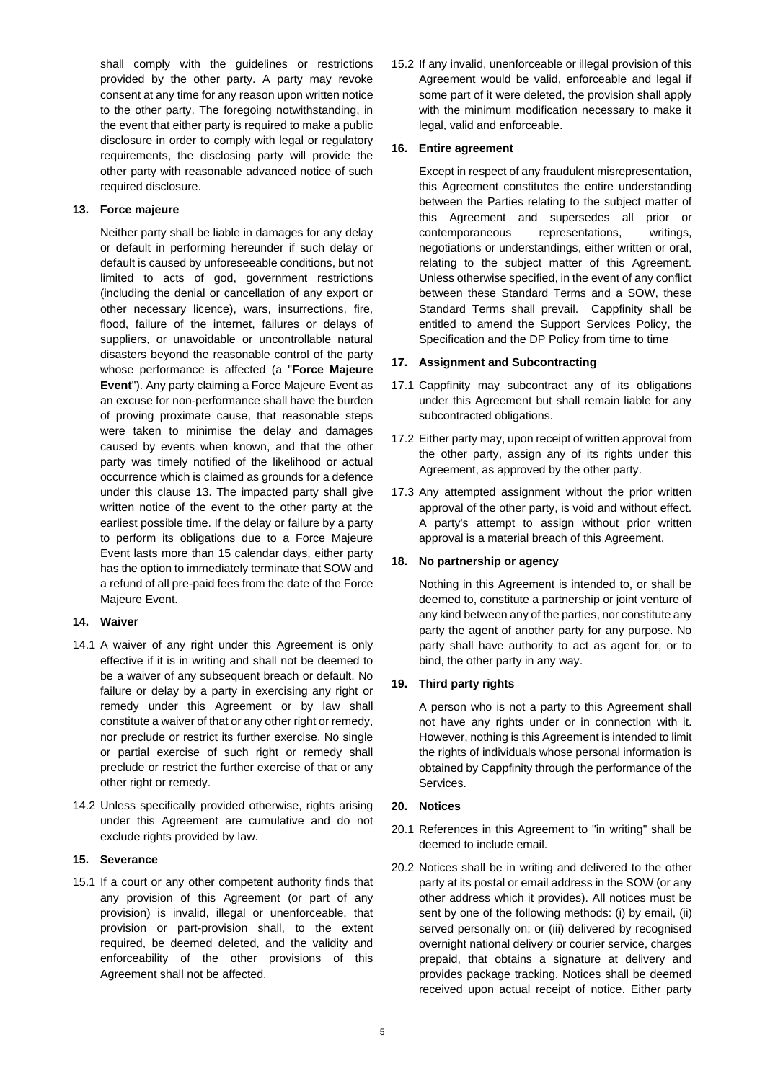shall comply with the guidelines or restrictions provided by the other party. A party may revoke consent at any time for any reason upon written notice to the other party. The foregoing notwithstanding, in the event that either party is required to make a public disclosure in order to comply with legal or regulatory requirements, the disclosing party will provide the other party with reasonable advanced notice of such required disclosure.

# <span id="page-4-0"></span>**13. Force majeure**

Neither party shall be liable in damages for any delay or default in performing hereunder if such delay or default is caused by unforeseeable conditions, but not limited to acts of god, government restrictions (including the denial or cancellation of any export or other necessary licence), wars, insurrections, fire, flood, failure of the internet, failures or delays of suppliers, or unavoidable or uncontrollable natural disasters beyond the reasonable control of the party whose performance is affected (a "**Force Majeure Event**"). Any party claiming a Force Majeure Event as an excuse for non-performance shall have the burden of proving proximate cause, that reasonable steps were taken to minimise the delay and damages caused by events when known, and that the other party was timely notified of the likelihood or actual occurrence which is claimed as grounds for a defence under this clause [13.](#page-4-0) The impacted party shall give written notice of the event to the other party at the earliest possible time. If the delay or failure by a party to perform its obligations due to a Force Majeure Event lasts more than 15 calendar days, either party has the option to immediately terminate that SOW and a refund of all pre-paid fees from the date of the Force Majeure Event.

#### **14. Waiver**

- 14.1 A waiver of any right under this Agreement is only effective if it is in writing and shall not be deemed to be a waiver of any subsequent breach or default. No failure or delay by a party in exercising any right or remedy under this Agreement or by law shall constitute a waiver of that or any other right or remedy, nor preclude or restrict its further exercise. No single or partial exercise of such right or remedy shall preclude or restrict the further exercise of that or any other right or remedy.
- 14.2 Unless specifically provided otherwise, rights arising under this Agreement are cumulative and do not exclude rights provided by law.

#### **15. Severance**

15.1 If a court or any other competent authority finds that any provision of this Agreement (or part of any provision) is invalid, illegal or unenforceable, that provision or part-provision shall, to the extent required, be deemed deleted, and the validity and enforceability of the other provisions of this Agreement shall not be affected.

15.2 If any invalid, unenforceable or illegal provision of this Agreement would be valid, enforceable and legal if some part of it were deleted, the provision shall apply with the minimum modification necessary to make it legal, valid and enforceable.

### **16. Entire agreement**

Except in respect of any fraudulent misrepresentation, this Agreement constitutes the entire understanding between the Parties relating to the subject matter of this Agreement and supersedes all prior or contemporaneous representations, writings, negotiations or understandings, either written or oral, relating to the subject matter of this Agreement. Unless otherwise specified, in the event of any conflict between these Standard Terms and a SOW, these Standard Terms shall prevail. Cappfinity shall be entitled to amend the Support Services Policy, the Specification and the DP Policy from time to time

### **17. Assignment and Subcontracting**

- 17.1 Cappfinity may subcontract any of its obligations under this Agreement but shall remain liable for any subcontracted obligations.
- 17.2 Either party may, upon receipt of written approval from the other party, assign any of its rights under this Agreement, as approved by the other party.
- 17.3 Any attempted assignment without the prior written approval of the other party, is void and without effect. A party's attempt to assign without prior written approval is a material breach of this Agreement.

#### **18. No partnership or agency**

Nothing in this Agreement is intended to, or shall be deemed to, constitute a partnership or joint venture of any kind between any of the parties, nor constitute any party the agent of another party for any purpose. No party shall have authority to act as agent for, or to bind, the other party in any way.

# **19. Third party rights**

A person who is not a party to this Agreement shall not have any rights under or in connection with it. However, nothing is this Agreement is intended to limit the rights of individuals whose personal information is obtained by Cappfinity through the performance of the Services.

### **20. Notices**

- 20.1 References in this Agreement to "in writing" shall be deemed to include email.
- 20.2 Notices shall be in writing and delivered to the other party at its postal or email address in the SOW (or any other address which it provides). All notices must be sent by one of the following methods: (i) by email, (ii) served personally on; or (iii) delivered by recognised overnight national delivery or courier service, charges prepaid, that obtains a signature at delivery and provides package tracking. Notices shall be deemed received upon actual receipt of notice. Either party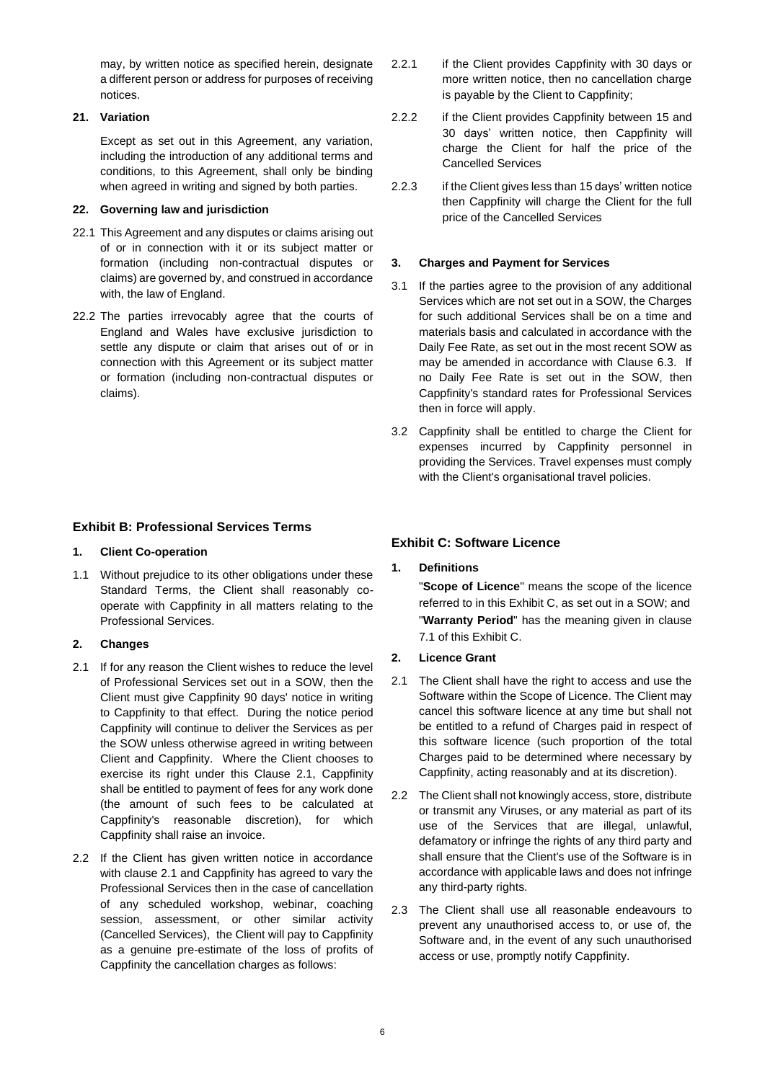may, by written notice as specified herein, designate a different person or address for purposes of receiving notices.

# **21. Variation**

Except as set out in this Agreement, any variation, including the introduction of any additional terms and conditions, to this Agreement, shall only be binding when agreed in writing and signed by both parties.

# **22. Governing law and jurisdiction**

- 22.1 This Agreement and any disputes or claims arising out of or in connection with it or its subject matter or formation (including non-contractual disputes or claims) are governed by, and construed in accordance with, the law of England.
- 22.2 The parties irrevocably agree that the courts of England and Wales have exclusive jurisdiction to settle any dispute or claim that arises out of or in connection with this Agreement or its subject matter or formation (including non-contractual disputes or claims).

# **Exhibit B: Professional Services Terms**

# **1. Client Co-operation**

1.1 Without prejudice to its other obligations under these Standard Terms, the Client shall reasonably cooperate with Cappfinity in all matters relating to the Professional Services.

# **2. Changes**

- 2.1 If for any reason the Client wishes to reduce the level of Professional Services set out in a SOW, then the Client must give Cappfinity 90 days' notice in writing to Cappfinity to that effect. During the notice period Cappfinity will continue to deliver the Services as per the SOW unless otherwise agreed in writing between Client and Cappfinity. Where the Client chooses to exercise its right under this Clause 2.1, Cappfinity shall be entitled to payment of fees for any work done (the amount of such fees to be calculated at Cappfinity's reasonable discretion), for which Cappfinity shall raise an invoice.
- 2.2 If the Client has given written notice in accordance with clause 2.1 and Cappfinity has agreed to vary the Professional Services then in the case of cancellation of any scheduled workshop, webinar, coaching session, assessment, or other similar activity (Cancelled Services), the Client will pay to Cappfinity as a genuine pre-estimate of the loss of profits of Cappfinity the cancellation charges as follows:
- 2.2.1 if the Client provides Cappfinity with 30 days or more written notice, then no cancellation charge is payable by the Client to Cappfinity;
- 2.2.2 if the Client provides Cappfinity between 15 and 30 days' written notice, then Cappfinity will charge the Client for half the price of the Cancelled Services
- 2.2.3 if the Client gives less than 15 days' written notice then Cappfinity will charge the Client for the full price of the Cancelled Services

# **3. Charges and Payment for Services**

- 3.1 If the parties agree to the provision of any additional Services which are not set out in a SOW, the Charges for such additional Services shall be on a time and materials basis and calculated in accordance with the Daily Fee Rate, as set out in the most recent SOW as may be amended in accordance with Clause 6.3. If no Daily Fee Rate is set out in the SOW, then Cappfinity's standard rates for Professional Services then in force will apply.
- 3.2 Cappfinity shall be entitled to charge the Client for expenses incurred by Cappfinity personnel in providing the Services. Travel expenses must comply with the Client's organisational travel policies.

# **Exhibit C: Software Licence**

# **1. Definitions**

"**Scope of Licence**" means the scope of the licence referred to in this Exhibit C, as set out in a SOW; and "**Warranty Period**" has the meaning given in clause [7.1](#page-6-0) of this Exhibit C.

- **2. Licence Grant**
- 2.1 The Client shall have the right to access and use the Software within the Scope of Licence. The Client may cancel this software licence at any time but shall not be entitled to a refund of Charges paid in respect of this software licence (such proportion of the total Charges paid to be determined where necessary by Cappfinity, acting reasonably and at its discretion).
- 2.2 The Client shall not knowingly access, store, distribute or transmit any Viruses, or any material as part of its use of the Services that are illegal, unlawful, defamatory or infringe the rights of any third party and shall ensure that the Client's use of the Software is in accordance with applicable laws and does not infringe any third-party rights.
- 2.3 The Client shall use all reasonable endeavours to prevent any unauthorised access to, or use of, the Software and, in the event of any such unauthorised access or use, promptly notify Cappfinity.